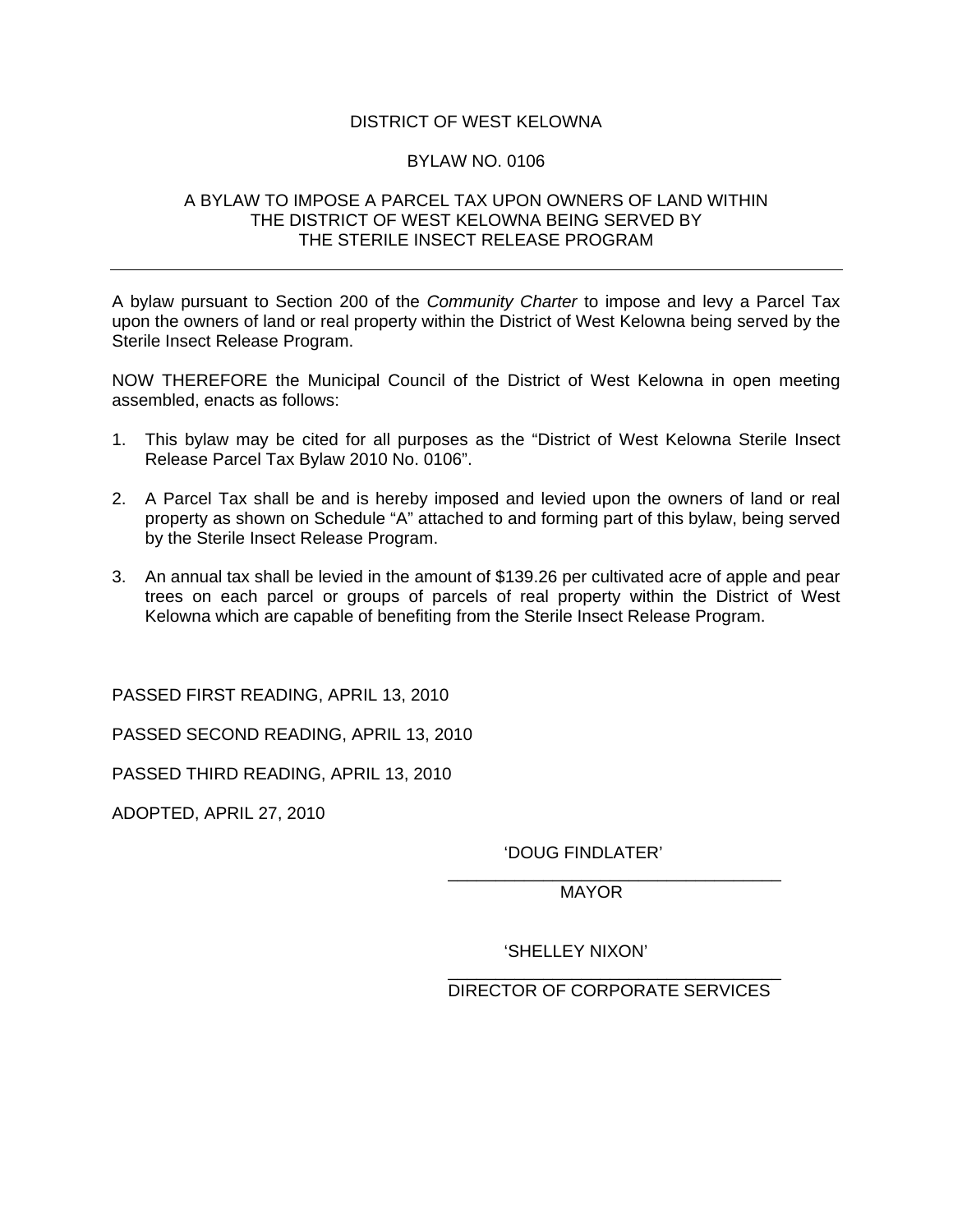## DISTRICT OF WEST KELOWNA

## BYLAW NO. 0106

## A BYLAW TO IMPOSE A PARCEL TAX UPON OWNERS OF LAND WITHIN THE DISTRICT OF WEST KELOWNA BEING SERVED BY THE STERILE INSECT RELEASE PROGRAM

A bylaw pursuant to Section 200 of the *Community Charter* to impose and levy a Parcel Tax upon the owners of land or real property within the District of West Kelowna being served by the Sterile Insect Release Program.

NOW THEREFORE the Municipal Council of the District of West Kelowna in open meeting assembled, enacts as follows:

- 1. This bylaw may be cited for all purposes as the "District of West Kelowna Sterile Insect Release Parcel Tax Bylaw 2010 No. 0106".
- 2. A Parcel Tax shall be and is hereby imposed and levied upon the owners of land or real property as shown on Schedule "A" attached to and forming part of this bylaw, being served by the Sterile Insect Release Program.
- 3. An annual tax shall be levied in the amount of \$139.26 per cultivated acre of apple and pear trees on each parcel or groups of parcels of real property within the District of West Kelowna which are capable of benefiting from the Sterile Insect Release Program.

 $\overline{\phantom{a}}$  , which is a set of the contract of the contract of the contract of the contract of the contract of the contract of the contract of the contract of the contract of the contract of the contract of the contract

 $\overline{\phantom{a}}$  , which is a set of the contract of the contract of the contract of the contract of the contract of the contract of the contract of the contract of the contract of the contract of the contract of the contract

PASSED FIRST READING, APRIL 13, 2010

PASSED SECOND READING, APRIL 13, 2010

PASSED THIRD READING, APRIL 13, 2010

ADOPTED, APRIL 27, 2010

'DOUG FINDLATER'

MAYOR

'SHELLEY NIXON'

DIRECTOR OF CORPORATE SERVICES